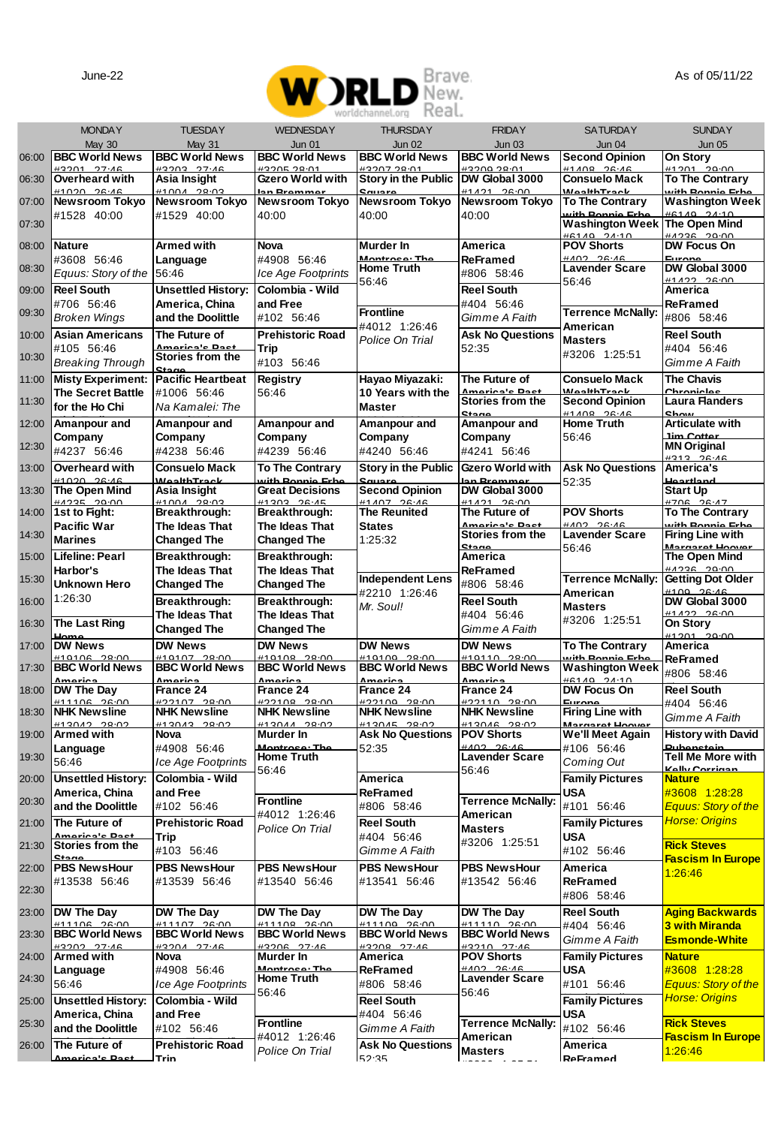

|       |                                             |                                             |                                            | 153.ULU<br>1 3 3 4 5 6 7 8 9                   |                                            |                                              |                                               |
|-------|---------------------------------------------|---------------------------------------------|--------------------------------------------|------------------------------------------------|--------------------------------------------|----------------------------------------------|-----------------------------------------------|
|       | <b>MONDAY</b><br>May 30                     | <b>TUESDAY</b><br><b>May 31</b>             | <b>WEDNESDAY</b><br><b>Jun 01</b>          | <b>THURSDAY</b><br><b>Jun 02</b>               | <b>FRIDAY</b><br><b>Jun 03</b>             | <b>SATURDAY</b><br>Jun 04                    | <b>SUNDAY</b><br><b>Jun 05</b>                |
| 06:00 | <b>BBC World News</b>                       | <b>BBC World News</b>                       | <b>BBC World News</b>                      | <b>BBC World News</b>                          | <b>BBC World News</b>                      | <b>Second Opinion</b>                        | On Story                                      |
| 06:30 | #3201 27:46<br>Overheard with               | H3203 27.46<br>Asia Insight                 | #3205.2801<br>Gzero World with             | #3207.28.01<br>Story in the Public             | #32002280<br>DW Global 3000                | $H1A\cap R$ $2R-AB$<br><b>Consuelo Mack</b>  | #1201<br>20:00<br>To The Contrary             |
| 07:00 | H1020 26.46<br>Newsroom Tokyo               | <b>#4004 90-05</b><br><b>Newsroom Tokyo</b> | nn Dramma<br><b>Newsroom Tokyo</b>         | Newsroom Tokyo                                 | <b>41421 28:00</b><br>Newsroom Tokyo       | <b>ManishTrant</b><br><b>To The Contrary</b> | uith Dannia Crh<br>Washington Week            |
| 07:30 | #1528 40:00                                 | #1529 40:00                                 | 40:00                                      | 40:00                                          | 40:00                                      | with Bonnie Erb<br><b>Washington Week</b>    | <b>HG140 24:10</b><br><b>The Open Mind</b>    |
| 08:00 | Nature                                      | Armed with                                  | Nova                                       | Murder In                                      | America                                    | <b>HA140 24:10</b><br><b>POV Shorts</b>      | 00:00 3224#<br>DW Focus On                    |
|       | #3608 56:46                                 | Language                                    | #4908 56:46                                | Mantenna T                                     | ReFramed                                   | $HAO2, 2C-AC$                                |                                               |
| 08:30 | Equus: Story of the                         | 56:46                                       | Ice Age Footprints                         | Home Truth<br>56:46                            | #806 58:46                                 | <b>Lavender Scare</b><br>56:46               | DW Global 3000<br>0.1422                      |
| 09:00 | <b>Reel South</b><br>#706 56:46             | <b>Unsettled History:</b><br>America, China | Colombia - Wild<br>and Free                |                                                | <b>Reel South</b><br>#404 56:46            |                                              | America<br>ReFramed                           |
| 09:30 | <b>Broken Wings</b>                         | and the Doolittle                           | #102 56:46                                 | <b>Frontline</b>                               | Gimme A Faith                              | <b>Terrence McNally:</b>                     | #806 58:46                                    |
| 10:00 | <b>Asian Americans</b>                      | The Future of                               | <b>Prehistoric Road</b>                    | #4012 1:26:46<br>Police On Trial               | <b>Ask No Questions</b>                    | American<br><b>Masters</b>                   | <b>Reel South</b>                             |
| 10:30 | #105 56:46<br><b>Breaking Through</b>       | Americale Ban<br>Stories from the           | Trip<br>#103 56:46                         |                                                | 52:35                                      | #3206 1:25:51                                | #404 56:46<br>Gimme A Faith                   |
| 11:00 | <b>Misty Experiment:</b>                    | C <sub>in</sub><br><b>Pacific Heartbeat</b> | Registry                                   | Hayao Miyazaki:                                | The Future of                              | <b>Consuelo Mack</b>                         | <b>The Chavis</b>                             |
| 11:30 | <b>The Secret Battle</b>                    | #1006 56:46                                 | 56:46                                      | 10 Years with the                              | America's Pas<br>Stories from the          | <b>WealthTrack</b><br><b>Second Opinion</b>  | Chronicle<br><b>Laura Flanders</b>            |
|       | for the Ho Chi                              | Na Kamalei: The                             |                                            | <b>Master</b>                                  |                                            | <b>44 ADD 00.40</b>                          | eh.                                           |
| 12:00 | Amanpour and<br>Company                     | Amanpour and<br>Company                     | Amanpour and<br>Company                    | Amanpour and<br>Company                        | Amanpour and<br>Company                    | <b>Home Truth</b><br>56:46                   | <b>Articulate with</b><br>lim Patta           |
| 12:30 | #4237 56:46                                 | #4238 56:46                                 | #4239 56:46                                | #4240 56:46                                    | #4241 56:46                                |                                              | <b>MN Original</b><br>$#313 - 26.41$          |
| 13:00 | Overheard with<br>H1020 28.46               | <b>Consuelo Mack</b><br><b>MealthTrack</b>  | <b>To The Contrary</b><br>with Ronnie Frhe | <b>Story in the Public</b>                     | Gzero World with<br>an Bramme              | <b>Ask No Questions</b>                      | America's<br>Hoartland                        |
| 13:30 | The Open Mind                               | Asia Insight                                | <b>Great Decisions</b>                     | <b>Second Opinion</b>                          | DW Global 3000                             | 52:35                                        | Start Up                                      |
| 14:00 | 1st to Fight:                               | 11004 0003<br>Breakthrough:                 | 84202 20:45<br>Breakthrough:               | 11107 00.10<br>The Reunited                    | <b>44494 98-00</b><br>The Future of        | <b>POV Shorts</b>                            | <b>#700 20:47</b><br><b>To The Contrary</b>   |
| 14:30 | Pacific War                                 | The Ideas That                              | The Ideas That                             | <b>States</b>                                  | America's Past<br>Stories from the         | HAO2 26.46<br><b>Lavender Scare</b>          | with Roonia Frh<br><b>Firing Line with</b>    |
| 15:00 | <b>Marines</b><br>Lifeline: Pearl           | <b>Changed The</b><br>Breakthrough:         | <b>Changed The</b><br>Breakthrough:        | 1:25:32                                        | Stane<br>America                           | 56:46                                        | Margaret Hoove<br>The Open Mind               |
|       | Harbor's                                    | The Ideas That                              | The Ideas That                             |                                                | ReFramed                                   |                                              | eanna na-a                                    |
| 15:30 | Unknown Hero                                | <b>Changed The</b>                          | <b>Changed The</b>                         | <b>Independent Lens</b><br>#2210 1:26:46       | #806 58:46                                 | <b>Terrence McNally:</b><br>American         | <b>Getting Dot Older</b><br><b>4400 00.40</b> |
| 16:00 | 1:26:30                                     | Breakthrough:<br>The Ideas That             | Breakthrough:<br>The Ideas That            | Mr. Soul!                                      | <b>Reel South</b><br>#404 56:46            | <b>Masters</b>                               | DW Global 3000<br>#1422 26:00                 |
| 16:30 | <b>The Last Ring</b>                        | <b>Changed The</b>                          | <b>Changed The</b>                         |                                                | Gimme A Faith                              | #3206 1:25:51                                | On Story<br>0.1201                            |
| 17:00 | <b>DW News</b>                              | <b>DW News</b>                              | <b>DW News</b>                             | <b>DW News</b>                                 | <b>DW News</b>                             | <b>To The Contrary</b>                       | America                                       |
| 17:30 | 0.400<br><b>BBC World News</b>              | <b>BBC World News</b>                       | <b>BBC World News</b>                      | 10100<br><b>BBC World News</b>                 | <b>BBC World News</b>                      | ith Ponnic<br>Washington Weel                | ReFramed<br>#806 58:46                        |
| 18:00 | America<br>DW The Day                       | America<br>France 24                        | America<br>France 24                       | America<br>France 24                           | America<br>France 24                       | $H = 1A0 - 2A - 10$<br>DW Focus On           | <b>Reel South</b>                             |
| 18:30 | #1110C 0C-0<br><b>NHK Newsline</b>          | <b>#22107 28:00</b><br><b>NHK Newsline</b>  | $H22400 - 20.00$<br><b>NHK Newsline</b>    | <b>422100 29:00</b><br><b>NHK Newsline</b>     | <b>#22110 28-00</b><br><b>NHK Newsline</b> | Europe<br><b>Firing Line with</b>            | #404 56:46                                    |
| 19:00 | H12012.000<br>Armed with                    | encer cances<br>Nova                        | $H120AA$ 20.00<br>Murder In                | <b>#12045 29-02</b><br><b>Ask No Questions</b> | <b>HADOAR</b> DROCH<br><b>POV Shorts</b>   | Margarat Ho<br>We'll Meet Again              | Gimme A Faith<br><b>History with David</b>    |
|       | Language                                    | #4908 56:46                                 | Montroco: Ti                               | 52:35                                          | HAO2 20.40                                 | #106 56:46                                   |                                               |
| 19:30 | 56:46                                       | Ice Age Footprints                          | <b>Home Truth</b><br>56:46                 |                                                | <b>Lavender Scare</b><br>56:46             | Coming Out                                   | Tell Me More with<br><b>Kelly Corrigan</b>    |
| 20:00 | <b>Unsettled History:</b><br>America, China | Colombia - Wild<br>and Free                 |                                            | America<br>ReFramed                            |                                            | <b>Family Pictures</b><br>USA                | <b>Nature</b><br>#3608 1:28:28                |
| 20:30 | and the Doolittle                           | #102 56:46                                  | <b>Frontline</b>                           | #806 58:46                                     | <b>Terrence McNally:</b>                   | #101 56:46                                   | <b>Equus: Story of the</b>                    |
| 21:00 | The Future of                               | <b>Prehistoric Road</b>                     | #4012 1:26:46<br>Police On Trial           | Reel South                                     | American<br><b>Masters</b>                 | <b>Family Pictures</b>                       | <b>Horse: Origins</b>                         |
| 21:30 | <u> Amarica'e Daet</u><br>Stories from the  | Trip<br>#103 56:46                          |                                            | #404 56:46<br>Gimme A Faith                    | #3206 1:25:51                              | <b>USA</b><br>#102 56:46                     | <b>Rick Steves</b>                            |
| 22:00 | Ctage<br><b>PBS NewsHour</b>                | <b>PBS NewsHour</b>                         | <b>PBS NewsHour</b>                        | <b>PBS NewsHour</b>                            | <b>PBS NewsHour</b>                        | America                                      | <b>Fascism In Europe</b>                      |
| 22:30 | #13538 56:46                                | #13539 56:46                                | #13540 56:46                               | #13541 56:46                                   | #13542 56:46                               | <b>ReFramed</b>                              | 1:26:46                                       |
|       |                                             |                                             |                                            |                                                |                                            | #806 58:46                                   |                                               |
| 23:00 | DW The Day<br><b>411106 26:00</b>           | DW The Day<br>#11107 26:00                  | DW The Day<br><b>#11100 20:00</b>          | DW The Day<br><b>411100 26:00</b>              | DW The Day<br><b>#11110 26:00</b>          | <b>Reel South</b><br>#404 56:46              | Aging Backwards<br>3 with Miranda             |
| 23:30 | <b>BBC World News</b><br>42202 27:46        | <b>BBC World News</b><br><b>42204 27.46</b> | <b>BBC World News</b><br>$#3206$ $27.46$   | <b>BBC World News</b><br>H3208 27.46           | <b>BBC World News</b><br>#2210 27:46       | Gimme A Faith                                | <b>Esmonde-White</b>                          |
| 24:00 | <b>Armed with</b>                           | Nova                                        | Murder In<br>Montroco: TI                  | America                                        | <b>POV Shorts</b><br>HAO2, 2C·AC           | <b>Family Pictures</b>                       | <b>Nature</b>                                 |
| 24:30 | Language<br>56:46                           | #4908 56:46<br>Ice Age Footprints           | <b>Home Truth</b>                          | ReFramed<br>#806 58:46                         | <b>Lavender Scare</b>                      | <b>USA</b><br>#101 56:46                     | #3608 1:28:28<br><b>Equus: Story of the</b>   |
| 25:00 | <b>Unsettled History:</b>                   | Colombia - Wild                             | 56:46                                      | <b>Reel South</b>                              | 56:46                                      | <b>Family Pictures</b>                       | <b>Horse: Origins</b>                         |
| 25:30 | America, China<br>and the Doolittle         | and Free<br>#102 56:46                      | <b>Frontline</b>                           | #404 56:46                                     | <b>Terrence McNally:</b>                   | USA<br>#102 56:46                            | <b>Rick Steves</b>                            |
| 26:00 | The Future of                               | <b>Prehistoric Road</b>                     | #4012 1:26:46                              | Gimme A Faith<br><b>Ask No Questions</b>       | American                                   | America                                      | <b>Fascism In Europe</b>                      |
|       | Americale Dr                                | Trin                                        | Police On Trial                            | 52.35                                          | <b>Masters</b>                             | ReFramed                                     | 1:26:46                                       |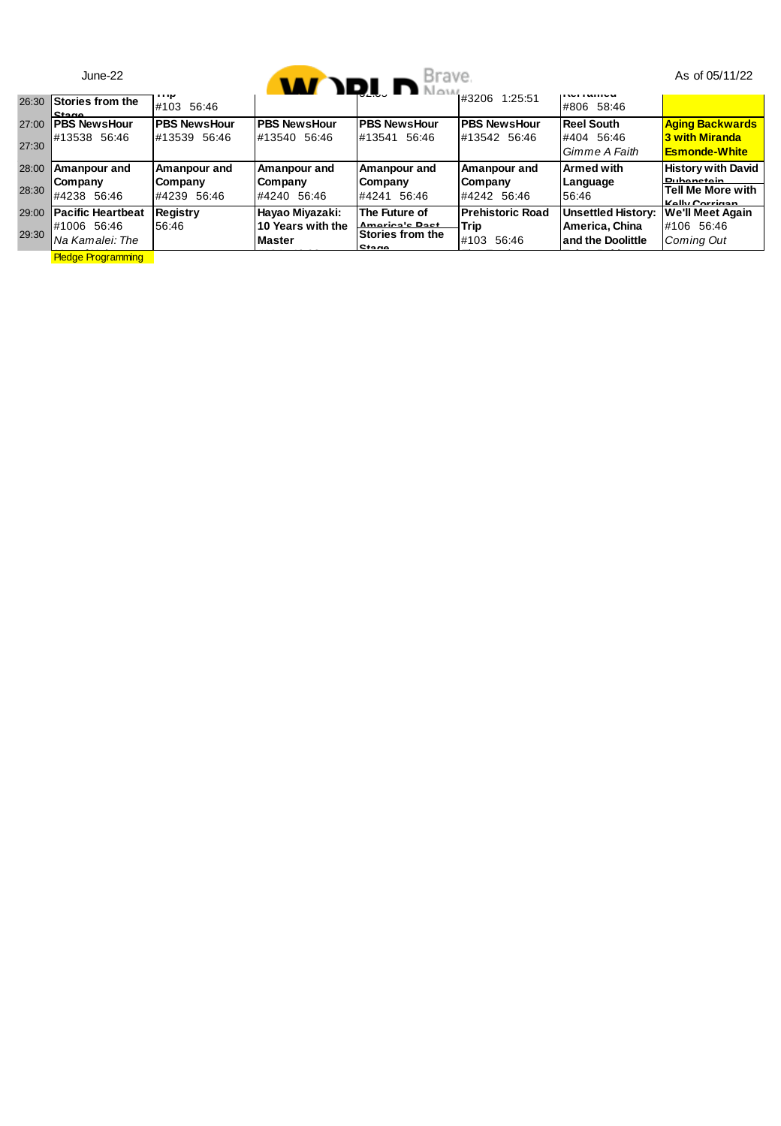|       | $June-22$                        |                        |                                    | <b>MAY DRI. D</b> Brave.                    |                         |                                     | As of 05/11/22                                                  |
|-------|----------------------------------|------------------------|------------------------------------|---------------------------------------------|-------------------------|-------------------------------------|-----------------------------------------------------------------|
| 26:30 | Stories from the<br><b>Stane</b> | <br>#103 56:46         |                                    |                                             |                         | <br>#806 58:46                      |                                                                 |
| 27:00 | <b>PBS NewsHour</b>              | <b>PBS NewsHour</b>    | <b>PBS NewsHour</b>                | <b>PBS NewsHour</b>                         | <b>PBS NewsHour</b>     | <b>Reel South</b>                   | <b>Aging Backwards</b>                                          |
| 27:30 | #13538 56:46                     | #13539 56:46           | #13540 56:46                       | #13541<br>56:46                             | #13542 56:46            | #404 56:46<br>Gimme A Faith         | 3 with Miranda<br><b>Esmonde-White</b>                          |
| 28:00 | Amanpour and                     | Amanpour and           | Amanpour and                       | Amanpour and                                | Amanpour and            | <b>Armed with</b>                   | <b>History with David</b>                                       |
| 28:30 | Company<br>#4238 56:46           | Company<br>#4239 56:46 | Company<br>#4240 56:46             | Company<br>#4241 56:46                      | Company<br>#4242 56:46  | Language<br>56:46                   | <b>Puhanctain</b><br><b>Tell Me More with</b><br>Kolly Corrigan |
| 29:00 | <b>Pacific Heartbeat</b>         | Registry               | Hayao Miyazaki:                    | The Future of                               | <b>Prehistoric Road</b> | <b>Unsettled History:</b>           | We'll Meet Again                                                |
| 29:30 | #1006 56:46<br>Na Kamalei: The   | 56:46                  | 10 Years with the<br><b>Master</b> | Americain Boot<br>Stories from the<br>Stane | Trip<br>#103 56:46      | America, China<br>and the Doolittle | #106 56:46<br>Comina Out                                        |
|       | <b>Pledge Programming</b>        |                        |                                    |                                             |                         |                                     |                                                                 |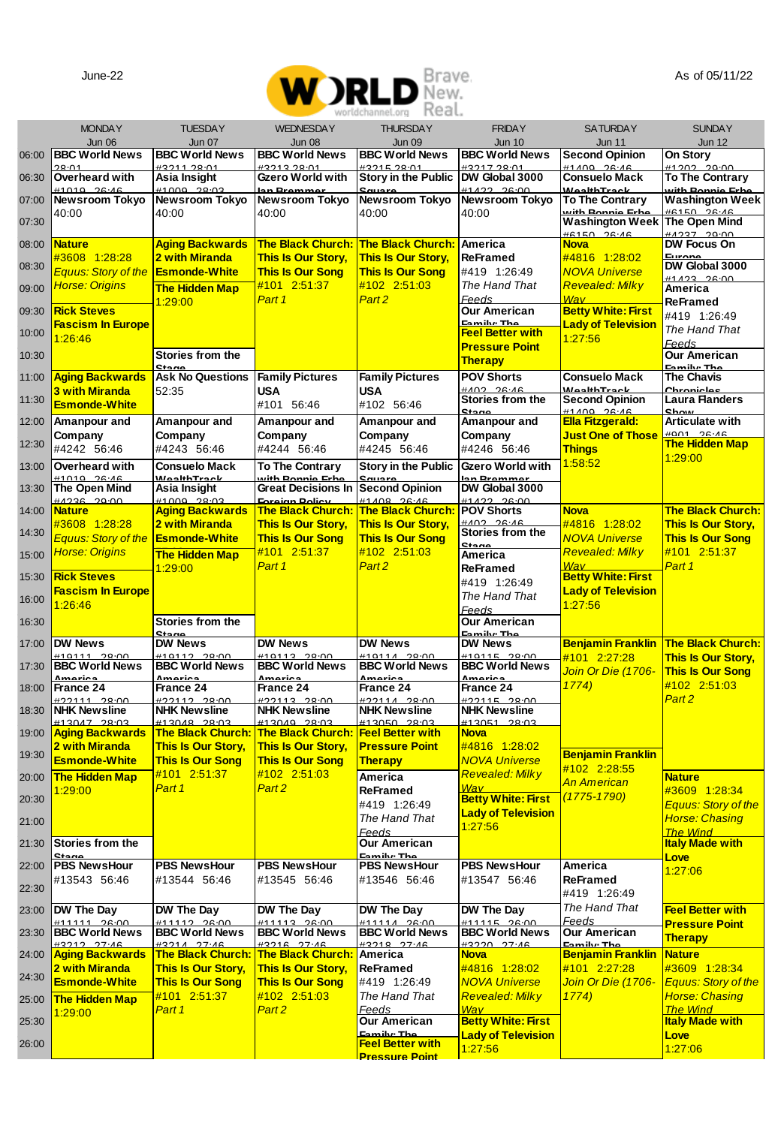

|       |                                             |                                              |                                                      | worldchannel.org<br>REdl.                     |                                                  |                                              | <b>SUNDAY</b>                             |
|-------|---------------------------------------------|----------------------------------------------|------------------------------------------------------|-----------------------------------------------|--------------------------------------------------|----------------------------------------------|-------------------------------------------|
|       | <b>MONDAY</b><br>Jun 06                     | <b>TUESDAY</b><br><b>Jun 07</b>              | <b>WEDNESDAY</b><br><b>Jun 08</b>                    | <b>THURSDAY</b><br><b>Jun 09</b>              | <b>FRIDAY</b><br><b>Jun 10</b>                   | <b>SATURDAY</b><br><b>Jun 11</b>             | <b>Jun 12</b>                             |
| 06:00 | <b>BBC World News</b>                       | <b>BBC World News</b>                        | <b>BBC World News</b>                                | <b>BBC World News</b>                         | <b>BBC World News</b>                            | <b>Second Opinion</b>                        | On Story                                  |
| 06:30 | 28.01<br>Overheard with                     | #3211.28-01<br>Asia Insight                  | #3213.28-01<br>Gzero World with                      | #3215.28-01<br>Story in the Public            | #3217.28:01<br>DW Global 3000                    | $0.36 - 201 + 4$<br><b>Consuelo Mack</b>     | #1202_29:00<br>To The Contrary            |
| 07:00 | 26.16<br>1010<br><b>Newsroom Tokyo</b>      | 20.0<br>1000<br>Newsroom Tokyo               | n Prommo<br>Newsroom Tokyo                           | Newsroom Tokyo                                | 11222222<br>Newsroom Tokyo                       | <b>MonithTrank</b><br><b>To The Contrarv</b> | uith Ronnig Erl<br><b>Washington Week</b> |
|       | 40:00                                       | 40:00                                        | 40:00                                                | 40:00                                         | 40:00                                            | with Roonia Frha                             | AN-AC OR-AR                               |
| 07:30 |                                             |                                              |                                                      |                                               |                                                  | <b>Washington Week</b><br>$0.36 - 246$       | The Open Mind<br>00-00 734                |
| 08:00 | <b>Nature</b>                               | <b>Aging Backwards</b>                       | <b>The Black Church:</b>                             | <b>The Black Church:</b>                      | America                                          | <b>Nova</b>                                  | DW Focus On<br>Europe                     |
| 08:30 | #3608 1:28:28<br><b>Equus: Story of the</b> | 2 with Miranda<br><b>Esmonde-White</b>       | <b>This Is Our Story.</b><br><b>This Is Our Song</b> | This Is Our Storv.<br><b>This Is Our Song</b> | <b>ReFramed</b><br>#419 1:26:49                  | #4816 1:28:02<br><b>NOVA Universe</b>        | DW Global 3000                            |
| 09:00 | <b>Horse: Origins</b>                       | The Hidden Map                               | #101 2:51:37                                         | #102 2:51:03                                  | The Hand That                                    | <b>Revealed: Milky</b>                       | 0.4442<br>America                         |
| 09:30 | <b>Rick Steves</b>                          | 1:29:00                                      | Part <sub>1</sub>                                    | Part <sub>2</sub>                             | Feeds<br><b>Our American</b>                     | Wav<br><b>Betty White: First</b>             | ReFramed                                  |
|       | <b>Fascism In Europe</b>                    |                                              |                                                      |                                               | Family: The                                      | <b>Lady of Television</b>                    | #419 1:26:49<br>The Hand That             |
| 10:00 | 1:26:46                                     |                                              |                                                      |                                               | <b>Feel Better with</b><br><b>Pressure Point</b> | 1:27:56                                      | Feeds                                     |
| 10:30 |                                             | Stories from the<br>Stane                    |                                                      |                                               | Therapy                                          |                                              | <b>Our American</b>                       |
| 11:00 | <b>Aging Backwards</b>                      | <b>Ask No Questions</b>                      | <b>Family Pictures</b>                               | <b>Family Pictures</b>                        | <b>POV Shorts</b>                                | <b>Consuelo Mack</b>                         | Family: The<br><b>The Chavis</b>          |
| 11:30 | <b>3 with Miranda</b>                       | 52:35                                        | <b>USA</b>                                           | USA                                           | HAD2 26.46<br>Stories from the                   | <b>WealthTrack</b><br><b>Second Opinion</b>  | Chroniclos<br><b>Laura Flanders</b>       |
| 12:00 | <b>Esmonde-White</b><br>Amanpour and        | Amanpour and                                 | #101 56:46<br>Amanpour and                           | #102 56:46<br>Amanpour and                    | Stane<br>Amanpour and                            | 84:30 0011#<br>Ella Fitzgerald:              | Show<br><b>Articulate with</b>            |
|       | Company                                     | Company                                      | Company                                              | Company                                       | Company                                          | <b>Just One of Those</b>                     | 0010200                                   |
| 12:30 | #4242 56:46                                 | #4243 56:46                                  | #4244 56:46                                          | #4245 56:46                                   | #4246 56:46                                      | <b>Thinas</b>                                | <b>The Hidden Map</b><br>1:29:00          |
| 13:00 | Overheard with                              | <b>Consuelo Mack</b>                         | <b>To The Contrary</b>                               | <b>Story in the Public</b>                    | Gzero World with                                 | 1:58:52                                      |                                           |
| 13:30 | $11010 - 26.46$<br>The Open Mind            | <b>MealthTrack</b><br>Asia Insight           | with Ronnie Frb<br><b>Great Decisions In</b>         | anuaro<br><b>Second Opinion</b>               | an Brammar<br>DW Global 3000                     |                                              |                                           |
| 14:00 | AAOOC OOON<br><b>Nature</b>                 | <u>esono opera</u><br><b>Aging Backwards</b> | <b>Enroice Boliou</b><br><b>The Black Church:</b>    | 84.400 00.40<br>The Black Church:             | mese cess<br><b>POV Shorts</b>                   | <b>Nova</b>                                  | The Black Church:                         |
| 14:30 | #3608 1:28:28                               | 2 with Miranda                               | This Is Our Story,                                   | This Is Our Story,                            | AND DR.AR<br>Stories from the                    | #4816 1:28:02                                | This Is Our Story,                        |
|       | <b>Equus: Story of the</b>                  | <b>Esmonde-White</b>                         | <b>This Is Our Song</b>                              | <b>This Is Our Song</b>                       | Stane                                            | <b>NOVA Universe</b>                         | <b>This Is Our Song</b>                   |
| 15:00 | <b>Horse: Origins</b>                       | <b>The Hidden Map</b><br>1:29:00             | #101 2:51:37<br>Part <sub>1</sub>                    | #102 2:51:03<br>Part <sub>2</sub>             | America<br><b>ReFramed</b>                       | <b>Revealed: Milkv</b><br>Wav                | #101 2:51:37<br>Part 1                    |
| 15:30 | <b>Rick Steves</b>                          |                                              |                                                      |                                               | #419 1:26:49                                     | <b>Betty White: First</b>                    |                                           |
| 16:00 | <b>Fascism In Europe</b><br>1:26:46         |                                              |                                                      |                                               | The Hand That                                    | <b>Lady of Television</b><br>1:27:56         |                                           |
| 16:30 |                                             | Stories from the                             |                                                      |                                               | Feeds<br><b>Our American</b>                     |                                              |                                           |
| 17:00 | DW News                                     | <b>DW News</b>                               | <b>DW News</b>                                       | DW News                                       | Family: The<br><b>DW News</b>                    | <b>Benjamin Franklin</b>                     | <b>The Black Church:</b>                  |
|       | $\sim$                                      | 0.440<br>$\sim$                              | 10110                                                |                                               | 10111<br>$\sim$                                  | #101 2:27:28                                 | This Is Our Story,                        |
| 17:30 | <b>BBC World News</b><br>متعت               | <b>BBC World News</b><br>maria               | <b>BBC World News</b><br>naria                       | <b>BBC World News</b>                         | <b>BBC World News</b><br>متعممه                  | Join Or Die (1706-                           | <b>This Is Our Song</b>                   |
| 18:00 | France 24                                   | France 24                                    | France 24                                            | France 24                                     | France 24                                        | 1774                                         | #102 2:51:03<br>Part <sub>2</sub>         |
| 18:30 | #22111 28:00<br><b>NHK Newsline</b>         | #22112 28:00<br><b>NHK Newsline</b>          | #22113 28:00<br><b>NHK Newsline</b>                  | 00:85 114225<br><b>NHK Newsline</b>           | #22115 28:00<br><b>NHK Newsline</b>              |                                              |                                           |
| 19:00 | 0047 28:03<br><b>Aging Backwards</b>        | #13048 28:03<br><b>The Black Church:</b>     | 013040 28:03<br><b>The Black Church:</b>             | #13050 28:03<br><b>Feel Better with</b>       | #13051 28:03<br><b>Nova</b>                      |                                              |                                           |
| 19:30 | 2 with Miranda                              | This Is Our Story,                           | This Is Our Story,                                   | <b>Pressure Point</b>                         | #4816 1:28:02                                    | <b>Benjamin Franklin</b>                     |                                           |
|       | <b>Esmonde-White</b>                        | <b>This Is Our Song</b>                      | <b>This Is Our Song</b>                              | <b>Therapy</b>                                | <b>NOVA Universe</b>                             | #102 2:28:55                                 |                                           |
| 20:00 | <b>The Hidden Map</b><br>1:29:00            | #101 2:51:37<br>Part 1                       | #102 2:51:03<br>Part <sub>2</sub>                    | America<br>ReFramed                           | <b>Revealed: Milkv</b><br>Wav                    | An American                                  | Nature<br>#3609 1:28:34                   |
| 20:30 |                                             |                                              |                                                      | #419 1:26:49                                  | <b>Betty White: First</b>                        | $(1775 - 1790)$                              | <b>Equus: Story of the</b>                |
| 21:00 |                                             |                                              |                                                      | The Hand That                                 | <b>Lady of Television</b><br>1:27:56             |                                              | <b>Horse: Chasing</b>                     |
| 21:30 | Stories from the                            |                                              |                                                      | Feeds<br>Our American                         |                                                  |                                              | <b>The Wind</b><br><b>Italy Made with</b> |
| 22:00 | Stano<br><b>PBS NewsHour</b>                | <b>PBS NewsHour</b>                          | <b>PBS NewsHour</b>                                  | Family: The<br><b>PBS NewsHour</b>            | <b>PBS NewsHour</b>                              | America                                      | Love                                      |
|       | #13543 56:46                                | #13544 56:46                                 | #13545 56:46                                         | #13546 56:46                                  | #13547 56:46                                     | <b>ReFramed</b>                              | 1:27:06                                   |
| 22:30 |                                             |                                              |                                                      |                                               |                                                  | #419 1:26:49                                 |                                           |
| 23:00 | DW The Dav<br><b>444444 98-00</b>           | DW The Dav<br>#11110 06:00                   | DW The Dav<br><b>#11112 26:00</b>                    | DW The Dav<br><b>411114 30:00</b>             | DW The Dav<br><b>#11115 36-00</b>                | The Hand That                                | <b>Feel Better with</b>                   |
| 23:30 | <b>BBC World News</b>                       | <b>BBC World News</b>                        | <b>BBC World News</b>                                | <b>BBC World News</b>                         | <b>BBC World News</b>                            | Feeds<br><b>Our American</b>                 | <b>Pressure Point</b><br>Therapy          |
| 24:00 | #3212 27:46<br><b>Aging Backwards</b>       | #3214 27:46<br><b>The Black Church:</b>      | #3216 27.46<br><b>The Black Church:</b>              | 49940 97-4<br>America                         | #3220 27:46<br><b>Nova</b>                       | Family: The<br><b>Benjamin Franklin</b>      | <b>Nature</b>                             |
| 24:30 | 2 with Miranda                              | <b>This Is Our Story,</b>                    | This Is Our Story,                                   | ReFramed                                      | #4816 1:28:02                                    | #101 2:27:28                                 | #3609 1:28:34                             |
|       | <b>Esmonde-White</b>                        | <b>This Is Our Song</b>                      | <b>This Is Our Song</b>                              | #419 1:26:49                                  | <b>NOVA Universe</b>                             | Join Or Die (1706-                           | <b>Equus: Story of the</b>                |
| 25:00 | <b>The Hidden Map</b><br>1:29:00            | #101 2:51:37<br>Part 1                       | #102 2:51:03<br>Part <sub>2</sub>                    | The Hand That<br>Feeds                        | <b>Revealed: Milky</b><br>Wav                    | 1774)                                        | <b>Horse: Chasing</b><br><b>The Wind</b>  |
| 25:30 |                                             |                                              |                                                      | Our American                                  | <b>Betty White: First</b>                        |                                              | <b>Italy Made with</b>                    |
| 26:00 |                                             |                                              |                                                      | Family: The<br><b>Feel Better with</b>        | <b>Lady of Television</b><br>1:27:56             |                                              | Love<br>1:27:06                           |
|       |                                             |                                              |                                                      | <b>Proccure Point</b>                         |                                                  |                                              |                                           |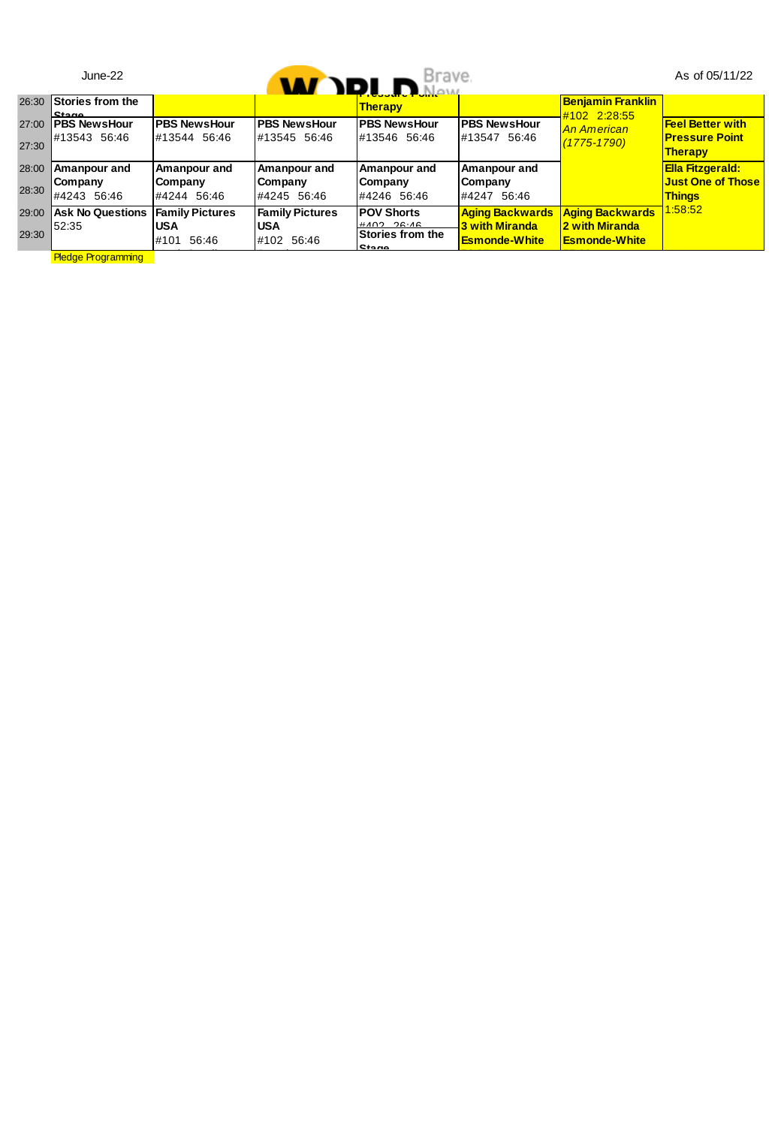|       | $June-22$                 |                          |                          | <b>W IDLD</b> Brave.                      |                                               |                                          | As of 05/11/22                            |
|-------|---------------------------|--------------------------|--------------------------|-------------------------------------------|-----------------------------------------------|------------------------------------------|-------------------------------------------|
| 26:30 | Stories from the<br>Stane |                          |                          | <b>Therapy</b>                            |                                               | <b>Benjamin Franklin</b><br>#102 2:28:55 |                                           |
| 27:00 | <b>PBS NewsHour</b>       | <b>PBS NewsHour</b>      | <b>PBS NewsHour</b>      | <b>PBS NewsHour</b>                       | <b>PBS NewsHour</b>                           | <b>An American</b>                       | <b>Feel Better with</b>                   |
| 27:30 | #13543 56:46              | #13544 56:46             | #13545 56:46             | #13546 56:46                              | #13547 56:46                                  | $(1775 - 1790)$                          | <b>Pressure Point</b><br>Therapy          |
| 28:00 | Amanpour and              | Amanpour and             | Amanpour and             | Amanpour and                              | Amanpour and                                  |                                          | <b>Ella Fitzgerald:</b>                   |
| 28:30 | Company<br>#4243 56:46    | Company<br>#4244 56:46   | Company<br>#4245 56:46   | Company<br>#4246 56:46                    | Company<br>#4247 56:46                        |                                          | <b>Just One of Those</b><br><b>Thinas</b> |
| 29:00 | <b>Ask No Questions</b>   | <b>Family Pictures</b>   | <b>Family Pictures</b>   | <b>POV Shorts</b>                         | <b>Aging Backwards</b>                        | <b>Aging Backwards</b>                   | 1:58:52                                   |
| 29:30 | 52:35                     | <b>USA</b><br>#101 56:46 | <b>USA</b><br>#102 56:46 | $HAO2 2C-AC$<br>Stories from the<br>Stane | <b>3 with Miranda</b><br><b>Esmonde-White</b> | 2 with Miranda<br><b>Esmonde-White</b>   |                                           |
|       | <b>Pledge Programming</b> |                          |                          |                                           |                                               |                                          |                                           |

**Pledge Programming**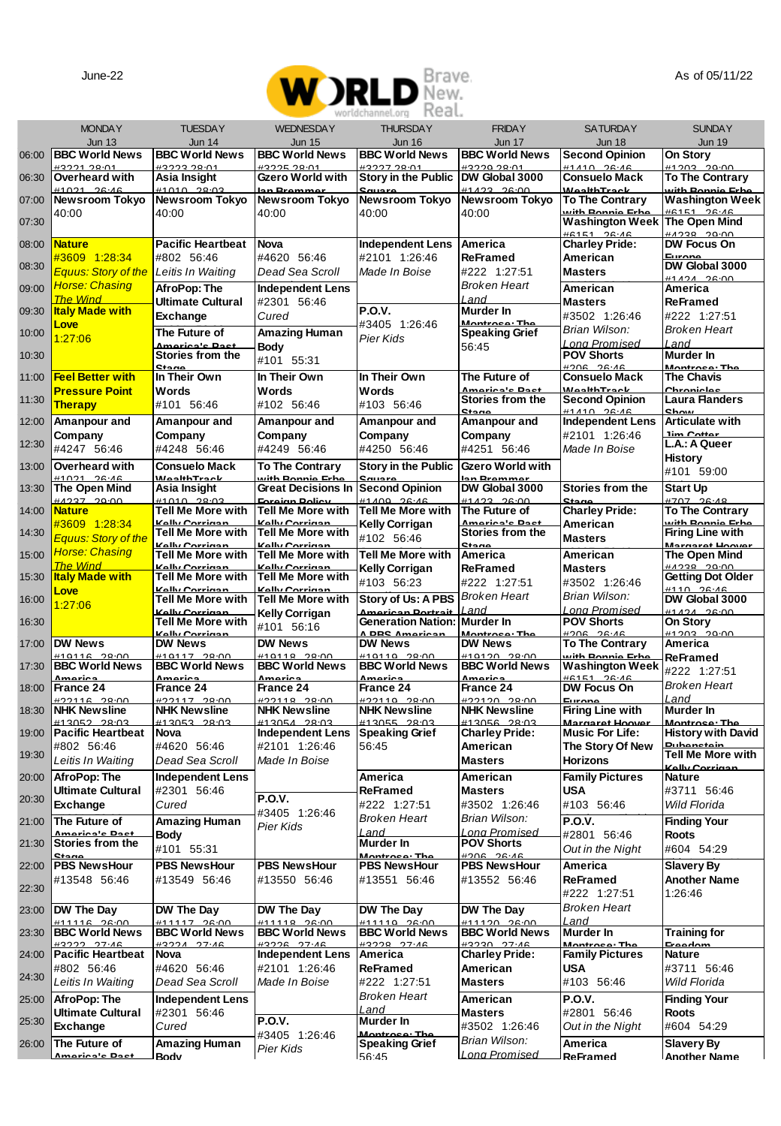

|       |                                                  |                                                    |                                               | vorinchannel.orn<br>$\cup$              |                                                 |                                            |                                                 |
|-------|--------------------------------------------------|----------------------------------------------------|-----------------------------------------------|-----------------------------------------|-------------------------------------------------|--------------------------------------------|-------------------------------------------------|
|       | <b>MONDAY</b>                                    | <b>TUESDAY</b>                                     | <b>WEDNESDAY</b>                              | <b>THURSDAY</b>                         | <b>FRIDAY</b>                                   | <b>SATURDAY</b>                            | <b>SUNDAY</b>                                   |
| 06:00 | <b>Jun 13</b><br><b>BBC World News</b>           | <b>Jun 14</b><br><b>BBC World News</b>             | <b>Jun 15</b><br><b>BBC World News</b>        | <b>Jun 16</b><br><b>BBC World News</b>  | <b>Jun 17</b><br><b>BBC World News</b>          | Jun 18<br><b>Second Opinion</b>            | Jun 19<br>On Story                              |
|       | #3221.28-01                                      | #3223.28-01                                        | 13225-28-01                                   | #3227.28:01                             | <b>#3220.28-0-</b>                              | <b>#1410 26:46</b>                         | #1203<br>$29 - 00$                              |
| 06:30 | Overheard with<br>14004<br>0 <sub>0</sub>        | Asia Insight<br>11010<br>20.0                      | Gzero World with                              | Story in the Public                     | DW Global 3000<br>14.00 00:0                    | <b>Consuelo Mack</b><br>545T               | <b>To The Contrary</b><br>ith Roy               |
| 07:00 | Newsroom Tokyo                                   | <b>Newsroom Tokyo</b>                              | <b>Newsroom Tokyo</b>                         | Newsroom Tokyo                          | <b>Newsroom Tokyo</b>                           | <b>To The Contrary</b>                     | <b>Washington Week</b>                          |
| 07:30 | 40:00                                            | 40:00                                              | 40:00                                         | 40:00                                   | 40:00                                           | with Roonia Frh<br><b>Washington Week</b>  | <b>#6151 26:46</b><br>The Open Mind             |
| 08:00 | <b>Nature</b>                                    | <b>Pacific Heartbeat</b>                           | Nova                                          | Independent Lens                        | America                                         | 86151 26:46<br><b>Charley Pride:</b>       | H A 238 20:00<br>DW Focus On                    |
|       | #3609 1:28:34                                    | #802 56:46                                         | #4620 56:46                                   | #2101 1:26:46                           | <b>ReFramed</b>                                 | American                                   | Europe<br>DW Global 3000                        |
| 08:30 | <b>Equus: Story of the</b>                       | Leitis In Waiting                                  | Dead Sea Scroll                               | Made In Boise                           | #222 1:27:51                                    | <b>Masters</b>                             | 0.1131                                          |
| 09:00 | <b>Horse: Chasing</b><br><b>The Wind</b>         | AfroPop: The                                       | <b>Independent Lens</b><br>#2301 56:46        |                                         | <b>Broken Heart</b><br>Land                     | American                                   | America                                         |
| 09:30 | <b>Italy Made with</b>                           | <b>Ultimate Cultural</b><br>Exchange               | Cured                                         | P.O.V.                                  | Murder In                                       | <b>Masters</b><br>#3502 1:26:46            | ReFramed<br>#222 1:27:51                        |
| 10:00 | Love                                             | The Future of                                      | Amazing Human                                 | #3405 1:26:46<br>Pier Kids              | Montroco: Th<br><b>Speaking Grief</b>           | Brian Wilson:                              | <b>Broken Heart</b>                             |
| 10:30 | 1:27:06                                          | Amarian'n Dan<br>Stories from the                  | Body                                          |                                         | 56:45                                           | <b>Long Promised</b><br><b>POV Shorts</b>  | Land<br>Murder In                               |
|       |                                                  | C <sub>in</sub>                                    | #101 55:31                                    |                                         |                                                 | $0.36$ $20$                                | Montroco: The                                   |
| 11:00 | <b>Feel Better with</b><br><b>Pressure Point</b> | In Their Own<br>Words                              | In Their Own<br>Words                         | In Their Own<br>Words                   | The Future of<br>America's Pac                  | <b>Consuelo Mack</b><br><b>WaalthTrack</b> | <b>The Chavis</b><br>Chronicles                 |
| 11:30 | Therapy                                          | #101 56:46                                         | #102 56:46                                    | #103 56:46                              | Stories from the                                | <b>Second Opinion</b>                      | <b>Laura Flanders</b>                           |
| 12:00 | Amanpour and                                     | Amanpour and                                       | Amanpour and                                  | Amanpour and                            | Stane<br>Amanpour and                           | 14410 26:46<br><b>Independent Lens</b>     | Shou<br><b>Articulate with</b>                  |
| 12:30 | Company                                          | Company                                            | Company                                       | Company                                 | Company                                         | #2101 1:26:46                              | lim Catta<br>L.A.: A Queer                      |
|       | #4247 56:46                                      | #4248 56:46                                        | #4249 56:46                                   | #4250 56:46                             | #4251 56:46                                     | Made In Boise                              | History                                         |
| 13:00 | Overheard with<br>#1021 26:46                    | <b>Consuelo Mack</b><br><b>WealthTrack</b>         | <b>To The Contrary</b><br>uith Ronnie Erb     | <b>Story in the Public</b>              | Gzero World with<br>an Bramm                    |                                            | #101 59:00                                      |
| 13:30 | The Open Mind<br>MADO TOON                       | Asia Insight<br>$11010 - 2902$                     | <b>Great Decisions In</b><br>Earainn Daliar   | <b>Second Opinion</b><br>HANN DR-AC     | DW Global 3000<br><b>41100 00:00</b>            | Stories from the                           | <b>Start Up</b><br>#707<br>20<br>$\overline{A}$ |
| 14:00 | <b>Nature</b>                                    | Tell Me More with                                  | Tell Me More with                             | Tell Me More with                       | The Future of                                   | <b>Charley Pride:</b>                      | <b>To The Contrary</b>                          |
| 14:30 | #3609 1:28:34<br><b>Equus: Story of the</b>      | <b>Kolly Corrigant</b><br><b>Tell Me More with</b> | Kallu Carriana<br>Tell Me More with           | Kelly Corrigan<br>#102 56:46            | America's Ros<br>Stories from the               | American<br><b>Masters</b>                 | uith Dannia Erk<br><b>Firing Line with</b>      |
| 15:00 | <b>Horse: Chasing</b>                            | Kolly Corrigan<br><b>Tell Me More with</b>         | Kolly Corrigan<br>Tell Me More with           | Tell Me More with                       | Stane<br>America                                | American                                   | Margaret Hoove<br>The Open Mind                 |
|       | <b>The Wind</b>                                  | Kelly Corrigan                                     | Kelly Corrigan                                | Kelly Corrigan                          | <b>ReFramed</b>                                 | <b>Masters</b>                             | OO-DC RECAH                                     |
| 15:30 | <b>Italy Made with</b><br>Love                   | Tell Me More with<br>Kallu Carriane                | Tell Me More with<br><b>Volly Constant</b>    | #103 56:23                              | #222 1:27:51                                    | #3502 1:26:46                              | <b>Getting Dot Older</b><br><b>4440 00.46</b>   |
| 16:00 | 1:27:06                                          | Tell Me More with<br>Kolly Corrigan                | Tell Me More with                             | Story of Us: A PBS<br>American Portrait | <b>Broken Heart</b><br>l and                    | Brian Wilson:<br>Long Promised             | DW Global 3000<br>$H1A2A$ 26:00                 |
| 16:30 |                                                  | <b>Tell Me More with</b>                           | Kelly Corrigan<br>#101 56:16                  | Generation Nation: Murder In            |                                                 | <b>POV Shorts</b>                          | On Story                                        |
| 17:00 | DW News                                          | Kolly Corrigan<br><b>DW News</b>                   | <b>DW News</b>                                | A PRS American<br><b>DW News</b>        | Montroce: Th<br><b>DW News</b>                  | 0.262<br><b>To The Contrary</b>            | #1203<br>20<br>America                          |
| 17:30 | 00.00<br>0.110<br><b>BBC World News</b>          | 00.00<br><b>BBC World News</b>                     | <b>ACAAC</b><br>0.00<br><b>BBC World News</b> | 00.00<br><b>BBC World News</b>          | <b>440400</b><br>00.00<br><b>BBC World News</b> | <u>rith Dannia Cr</u><br>Washington Weel   | ReFramed                                        |
|       | المقدم مساهر                                     | $A = 10$                                           | Amorio                                        | A contrato                              | ويتمام ومساهر                                   | $HCAFA$ $00.40$                            | #222 1:27:51<br><b>Broken Heart</b>             |
| 18:00 | France 24<br>#22446 290.00                       | France 24<br>#22117 28:00                          | France 24<br><b>#22110 20:00</b>              | France 24<br><b>422110 29:00</b>        | France 24<br><b>400100 09:00</b>                | DW Focus On<br>Europe                      | l and                                           |
| 18:30 | <b>NHK Newsline</b><br>en-on cances              | <b>NHK Newsline</b><br>412052<br>20.05             | <b>NHK Newsline</b><br><b>#13054 28:03</b>    | <b>NHK Newsline</b><br>13055 28:03      | <b>NHK Newsline</b><br>0-85 320214              | <b>Firing Line with</b><br>Margaret Hoov   | Murder In<br>Montrose: Th                       |
| 19:00 | <b>Pacific Heartbeat</b>                         | <b>Nova</b>                                        | <b>Independent Lens</b>                       | <b>Speaking Grief</b>                   | <b>Charley Pride:</b>                           | <b>Music For Life:</b>                     | <b>History with David</b>                       |
| 19:30 | #802 56:46<br>Leitis In Waiting                  | #4620 56:46<br>Dead Sea Scroll                     | #2101 1:26:46<br>Made In Boise                | 56:45                                   | American<br><b>Masters</b>                      | The Story Of New<br><b>Horizons</b>        | Tell Me More with                               |
| 20:00 | AfroPop: The                                     | <b>Independent Lens</b>                            |                                               | America                                 | American                                        | <b>Family Pictures</b>                     | <b>Kally Corrigan</b><br>Nature                 |
|       | Ultimate Cultural                                | #2301 56:46                                        |                                               | ReFramed                                | <b>Masters</b>                                  | USA                                        | #3711 56:46                                     |
| 20:30 | Exchange                                         | Cured                                              | P.O.V.<br>#3405 1:26:46                       | #222 1:27:51                            | #3502 1:26:46                                   | #103 56:46                                 | Wild Florida                                    |
| 21:00 | The Future of<br>seinale De                      | <b>Amazing Human</b>                               | <b>Pier Kids</b>                              | <b>Broken Heart</b><br>Land             | Brian Wilson:<br>ona Promised                   | P.O.V.                                     | <b>Finding Your</b>                             |
| 21:30 | Stories from the                                 | Body<br>#101 55:31                                 |                                               | Murder In                               | <b>POV Shorts</b>                               | #2801 56:46<br>Out in the Night            | Roots<br>#604 54:29                             |
| 22:00 | <b>Stane</b><br><b>PBS NewsHour</b>              | <b>PBS NewsHour</b>                                | <b>PBS NewsHour</b>                           | Montroce: The<br><b>PBS NewsHour</b>    | $0.36$ $30$<br><b>PBS NewsHour</b>              | America                                    | <b>Slavery By</b>                               |
| 22:30 | #13548 56:46                                     | #13549 56:46                                       | #13550 56:46                                  | #13551 56:46                            | #13552 56:46                                    | <b>ReFramed</b>                            | <b>Another Name</b>                             |
|       |                                                  |                                                    |                                               |                                         |                                                 | #222 1:27:51<br><b>Broken Heart</b>        | 1:26:46                                         |
| 23:00 | DW The Day<br><b>411116 26:00</b>                | DW The Day<br><b>#11117 98:00</b>                  | DW The Day<br><b>#11110 20:00</b>             | DW The Day<br><b>#11110 28:00</b>       | DW The Day<br><b>411120 28-00</b>               | Land                                       |                                                 |
| 23:30 | <b>BBC World News</b><br>H2222 27.4C             | <b>BBC World News</b><br>#3224 27:46               | <b>BBC World News</b><br>H3226 27.46          | <b>BBC World News</b><br>49990 97.44    | <b>BBC World News</b><br>#3230 27.46            | Murder In                                  | <b>Training for</b><br>Freedom                  |
| 24:00 | <b>Pacific Heartbeat</b>                         | Nova                                               | <b>Independent Lens</b>                       | America                                 | <b>Charley Pride:</b>                           | Montrose: The<br><b>Family Pictures</b>    | Nature                                          |
| 24:30 | #802 56:46                                       | #4620 56:46                                        | #2101 1:26:46                                 | ReFramed                                | American<br><b>Masters</b>                      | <b>USA</b>                                 | #3711 56:46                                     |
| 25:00 | Leitis In Waiting<br>AfroPop: The                | Dead Sea Scroll<br><b>Independent Lens</b>         | Made In Boise                                 | #222 1:27:51<br><b>Broken Heart</b>     | American                                        | #103 56:46<br>P.O.V.                       | Wild Florida<br><b>Finding Your</b>             |
|       | <b>Ultimate Cultural</b>                         | #2301 56:46                                        |                                               | Land                                    | <b>Masters</b>                                  | #2801 56:46                                | Roots                                           |
| 25:30 | Exchange                                         | Cured                                              | <b>P.O.V.</b><br>#3405 1:26:46                | Murder In<br>Montroco: Th               | #3502 1:26:46                                   | Out in the Night                           | #604 54:29                                      |
| 26:00 | The Future of<br>oriania Dr                      | Amazing Human                                      | Pier Kids                                     | <b>Speaking Grief</b>                   | Brian Wilson:<br><b>Long Promised</b>           | America                                    | <b>Slavery By</b>                               |
|       |                                                  | Rody                                               |                                               | 56:45                                   |                                                 | ReFramed                                   | <b>Another Name</b>                             |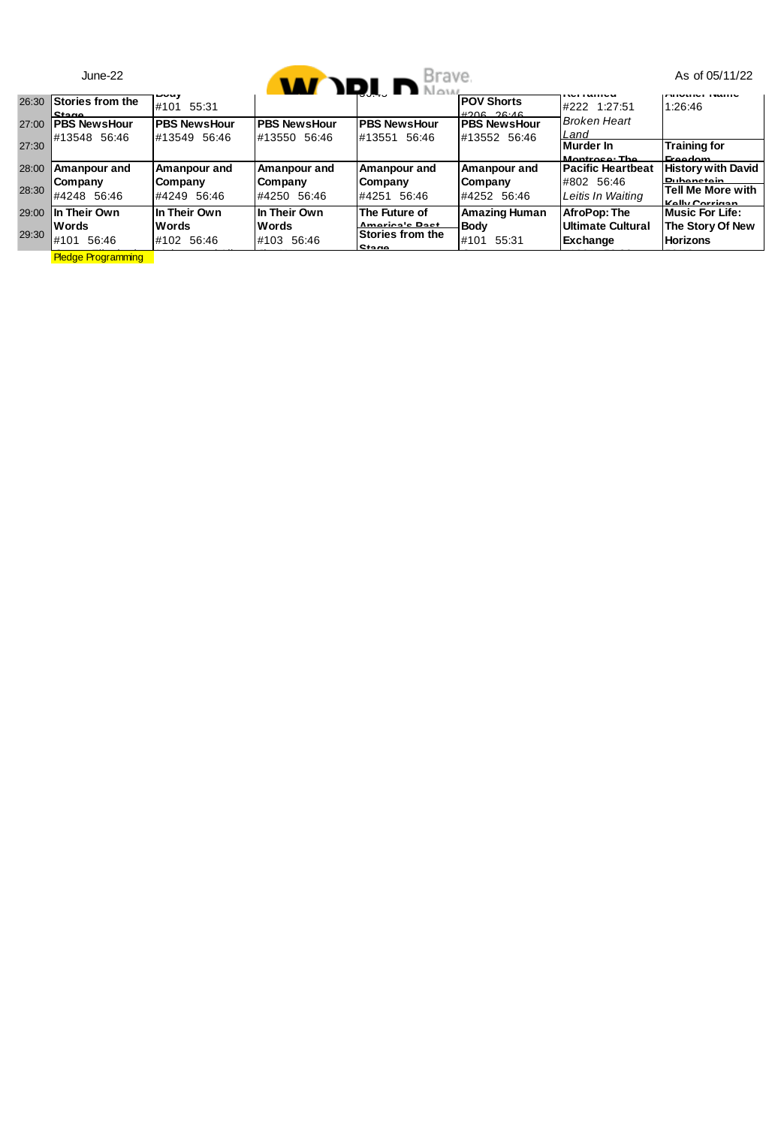|                | $June-22$                                     |                                            |                                     | <b>M</b> DI DERIVE                                           |                                     |                                                      | As of 05/11/22                                         |
|----------------|-----------------------------------------------|--------------------------------------------|-------------------------------------|--------------------------------------------------------------|-------------------------------------|------------------------------------------------------|--------------------------------------------------------|
| 26:30          | Stories from the<br>Stane                     | ---- <i>y</i><br>#101 55:31                |                                     |                                                              | <b>POV Shorts</b><br>$H206$ $26.46$ | .<br>#222 1:27:51                                    | 1:26:46                                                |
| 27:00          | <b>PBS NewsHour</b>                           | <b>PBS NewsHour</b>                        | <b>PBS NewsHour</b>                 | <b>PBS NewsHour</b>                                          | <b>PBS NewsHour</b>                 | <b>Broken Heart</b>                                  |                                                        |
| 27:30          | #13548 56:46                                  | #13549 56:46                               | #13550 56:46                        | #13551 56:46                                                 | #13552 56:46                        | Land<br>Murder In<br>Montroco: The                   | <b>Training for</b><br>Ernadam                         |
| 28:00          | Amanpour and                                  | Amanpour and                               | Amanpour and                        | Amanpour and                                                 | Amanpour and                        | <b>Pacific Heartbeat</b>                             | <b>History with David</b><br><b>Puhanetain</b>         |
| 28:30          | Company<br>#4248 56:46                        | Company<br>#4249 56:46                     | Company<br>#4250 56:46              | Company<br>#4251 56:46                                       | Company<br>#4252 56:46              | #802 56:46<br>Leitis In Waiting                      | Tell Me More with<br>Kolly Corrigan                    |
| 29.00<br>29:30 | In Their Own<br><b>Words</b><br>#101<br>56:46 | In Their Own<br><b>Words</b><br>#102 56:46 | In Their Own<br>Words<br>#103 56:46 | The Future of<br>America's Root<br>Stories from the<br>Stane | Amazing Human<br>Body<br>#101 55:31 | AfroPop: The<br><b>Ultimate Cultural</b><br>Exchange | Music For Life:<br>The Story Of New<br><b>Horizons</b> |
|                | <b>Pledge Programming</b>                     |                                            |                                     |                                                              |                                     |                                                      |                                                        |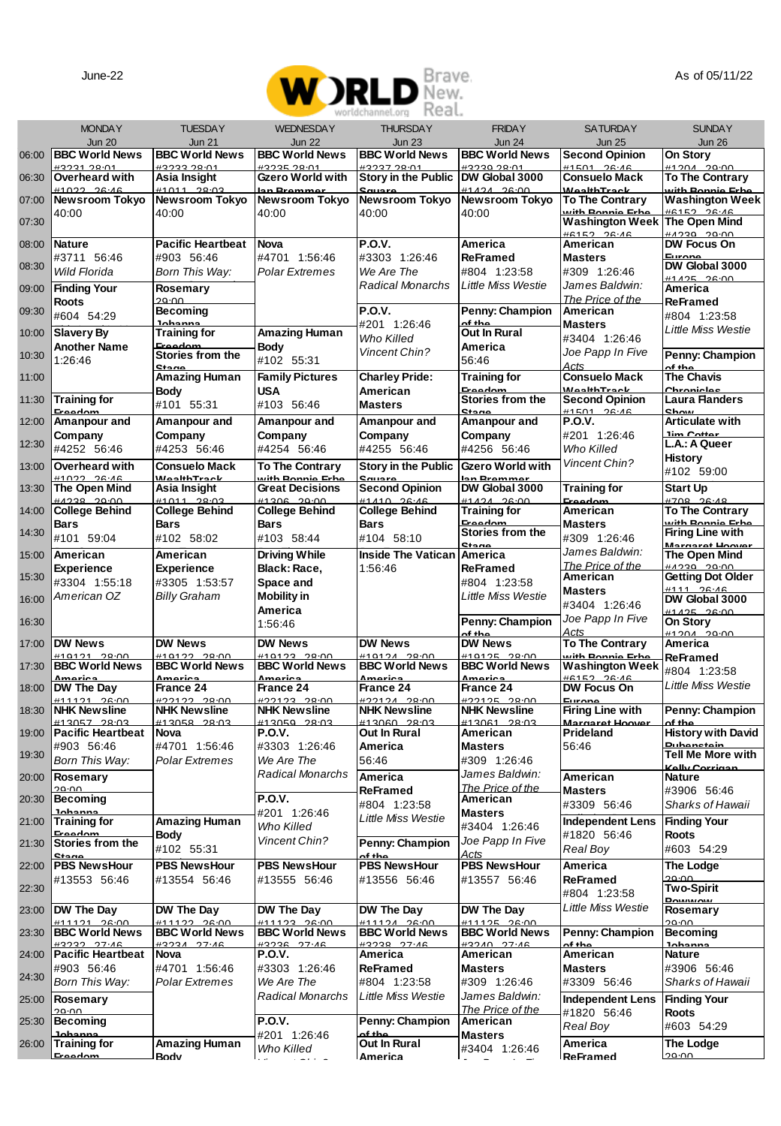

|       |                                           |                                        |                                         | ----<br>$1.3 \cup 1.1$                    |                                           |                                            |                                           |
|-------|-------------------------------------------|----------------------------------------|-----------------------------------------|-------------------------------------------|-------------------------------------------|--------------------------------------------|-------------------------------------------|
|       | <b>MONDAY</b>                             | <b>TUESDAY</b>                         | <b>WEDNESDAY</b>                        | <b>THURSDAY</b>                           | <b>FRIDAY</b>                             | <b>SATURDAY</b>                            | <b>SUNDAY</b>                             |
| 06:00 | <b>Jun 20</b><br><b>BBC World News</b>    | <b>Jun 21</b><br><b>BBC World News</b> | <b>Jun 22</b><br><b>BBC World News</b>  | <b>Jun 23</b><br><b>BBC World News</b>    | <b>Jun 24</b><br><b>BBC World News</b>    | <b>Jun 25</b><br><b>Second Opinion</b>     | <b>Jun 26</b><br>On Story                 |
|       | #3231 28:01                               | #3233.28-01                            | #3235.28-01                             | #3237.28-01                               | #3230.28.01                               | #1501 26:46                                | #1204<br>29:00                            |
| 06:30 | Overheard with<br><b>44000</b><br>$2C-16$ | Asia Insight<br><b>#1011</b><br>20.0   | Gzero World with<br>on Promm            | Story in the Public                       | DW Global 3000<br>1494<br>20.00           | Consuelo Mack<br><b>MonithTrack</b>        | <b>To The Contrary</b><br>vith Donnio Erh |
| 07:00 | Newsroom Tokyo                            | Newsroom Tokyo                         | Newsroom Tokyo                          | Newsroom Tokyo                            | Newsroom Tokyo                            | <b>To The Contrary</b>                     | <b>Washington Week</b>                    |
| 07:30 | 40:00                                     | 40:00                                  | 40:00                                   | 40:00                                     | 40:00                                     | with Ronnie Frhe<br><b>Washington Week</b> | #R152 26.46<br>The Open Mind              |
| 08:00 | Nature                                    | <b>Pacific Heartbeat</b>               | Nova                                    | P.O.V.                                    | America                                   | H6152 2616<br>American                     | 0.0299<br>DW Focus On                     |
|       | #3711 56:46                               | #903 56:46                             | #4701 1:56:46                           | #3303 1:26:46                             | ReFramed                                  | <b>Masters</b>                             | Europe<br>DW Global 3000                  |
| 08:30 | Wild Florida                              | Born This Way:                         | Polar Extremes                          | We Are The                                | #804 1:23:58                              | #309 1:26:46                               | #1495 96:00                               |
| 09:00 | <b>Finding Your</b><br>Roots              | Rosemary<br>29:00                      |                                         | Radical Monarchs                          | <b>Little Miss Westie</b>                 | James Baldwin:<br>The Price of the         | America<br>ReFramed                       |
| 09:30 | #604 54:29                                | Becoming                               |                                         | P.O.V.                                    | Penny: Champion                           | American                                   | #804 1:23:58                              |
| 10:00 | Slavery By                                | Inhanna<br>Training for                | Amazing Human                           | #201 1:26:46<br>Who Killed                | $of$ the<br>Out In Rural                  | Masters<br>#3404 1:26:46                   | <b>Little Miss Westie</b>                 |
| 10:30 | Another Name                              | Eroodor<br>Stories from the            | Body                                    | Vincent Chin?                             | America                                   | Joe Papp In Five                           | Penny: Champion                           |
|       | 1:26:46                                   | Stane<br>Amazing Human                 | #102 55:31<br><b>Family Pictures</b>    | <b>Charley Pride:</b>                     | 56:46                                     | Acts                                       | of the<br><b>The Chavis</b>               |
| 11:00 |                                           | Body                                   | <b>USA</b>                              | American                                  | <b>Training for</b><br>Freedom            | <b>Consuelo Mack</b><br><b>WaalthTrack</b> | Chronicles                                |
| 11:30 | <b>Training for</b><br><b>Freedom</b>     | #101 55:31                             | #103 56:46                              | <b>Masters</b>                            | Stories from the<br><b>Stane</b>          | <b>Second Opinion</b><br>#1501 26:46       | <b>Laura Flanders</b><br>chow             |
| 12:00 | Amanpour and                              | Amanpour and                           | Amanpour and                            | Amanpour and                              | Amanpour and                              | <b>P.O.V.</b>                              | <b>Articulate with</b>                    |
| 12:30 | Company<br>#4252 56:46                    | Company<br>#4253 56:46                 | Company<br>#4254 56:46                  | Company<br>#4255 56:46                    | Company<br>#4256 56:46                    | #201 1:26:46<br>Who Killed                 | lim Cotton<br>L.A.: A Queer               |
| 13:00 | Overheard with                            | <b>Consuelo Mack</b>                   | To The Contrary                         | Story in the Public                       | Gzero World with                          | Vincent Chin?                              | <b>History</b>                            |
|       | <b>#1022 26:46</b>                        | <b>WealthTrack</b>                     | with Ronnie Erhe                        | Source                                    | lan Brammar                               |                                            | #102 59:00                                |
| 13:30 | The Open Mind<br>$HADDD$ $0.000$          | Asia Insight<br>#1011 20:03            | <b>Great Decisions</b><br>0.006200      | <b>Second Opinion</b><br>#4440.26.48      | DW Global 3000<br><b>44494 98-00</b>      | Training for<br>Eroodo                     | Start Up<br>4709 00:49                    |
| 14:00 | <b>College Behind</b><br><b>Bars</b>      | <b>College Behind</b><br><b>Bars</b>   | <b>College Behind</b><br><b>Bars</b>    | <b>College Behind</b><br><b>Bars</b>      | <b>Training for</b><br>Eroodor            | American<br><b>Masters</b>                 | <b>To The Contrary</b><br>uith Dannie Fri |
| 14:30 | #101 59:04                                | #102 58:02                             | #103 58:44                              | #104 58:10                                | Stories from the                          | #309 1:26:46                               | <b>Firing Line with</b>                   |
| 15:00 | American                                  | American                               | <b>Driving While</b>                    | <b>Inside The Vatican</b>                 | <b>Grana</b><br>America                   | James Baldwin:                             | Margaret Hoover<br>The Open Mind          |
| 15:30 | Experience                                | Experience                             | Black: Race.                            | 1:56:46                                   | <b>ReFramed</b>                           | The Price of the<br>American               | 0.0299<br><b>Getting Dot Older</b>        |
|       | #3304 1:55:18<br>American OZ              | #3305 1:53:57<br><b>Billy Graham</b>   | Space and<br><b>Mobility</b> in         |                                           | #804 1:23:58<br><b>Little Miss Westie</b> | <b>Masters</b>                             | #111 00:40<br>DW Global 3000              |
| 16:00 |                                           |                                        | America                                 |                                           |                                           | #3404 1:26:46                              | #1425 26:00                               |
| 16:30 |                                           |                                        | 1:56:46                                 |                                           | Penny: Champion<br>of the                 | Joe Papp In Five<br>Acts                   | On Story<br>$H120A$ 20:00                 |
| 17:00 | DW News<br><b>440404</b><br>00.00         | <b>DW News</b><br><b>410122-29-00</b>  | <b>DW News</b><br>H10122.2900           | <b>DW News</b><br><b>440404 00:00</b>     | <b>DW News</b><br><b>410125</b><br>00.00  | <b>To The Contrarv</b><br>vith Donnie Fri  | America                                   |
| 17:30 | <b>BBC World News</b>                     | <b>BBC World News</b>                  | <b>BBC World News</b>                   | <b>BBC World News</b>                     | <b>BBC World News</b>                     | <b>Washington Week</b>                     | ReFramed<br>#804 1:23:58                  |
| 18:00 | ariar<br>DW The Day                       | Amorio<br>France 24                    | Amorio<br>France 24                     | Amorio<br>France 24                       | Amorio<br>France 24                       | HCAE2 20<br>DW Focus On                    | <b>Little Miss Westie</b>                 |
| 18:30 | #11121 26:00<br><b>NHK Newsline</b>       | #22122 28:00<br><b>NHK Newsline</b>    | $#22123 - 28.00$<br><b>NHK Newsline</b> | #22124 28:00<br><b>NHK Newsline</b>       | 021125 28:00<br><b>NHK Newsline</b>       | Europe<br><b>Firing Line with</b>          | Penny: Champion                           |
| 19:00 | #13057 28:03<br><b>Pacific Heartbeat</b>  | <b>HADDED DO-DS</b><br>Nova            | #12050 28:03<br>P.O.V.                  | H1200000000<br>Out In Rural               | #12001 28-02<br>American                  | Margaret Hoc<br>Prideland                  | of the<br><b>History with David</b>       |
|       | #903 56:46                                | #4701 1:56:46                          | #3303 1:26:46                           | America                                   | <b>Masters</b>                            | 56:46                                      | <b>Distances</b>                          |
| 19:30 | Bom This Way:                             | Polar Extremes                         | We Are The                              | 56:46                                     | #309 1:26:46                              |                                            | Tell Me More with<br>Kolly Corrigan       |
| 20:00 | Rosemary<br>חה-חר                         |                                        | Radical Monarchs                        | America                                   | James Baldwin:<br>The Price of the        | American                                   | Nature                                    |
| 20:30 | <b>Becoming</b>                           |                                        | <b>P.O.V.</b>                           | ReFramed<br>#804 1:23:58                  | American                                  | Masters<br>#3309 56:46                     | #3906 56:46<br>Sharks of Hawaii           |
| 21:00 | lohonr<br><b>Training for</b>             | Amazing Human                          | #201 1:26:46<br>Who Killed              | <b>Little Miss Westie</b>                 | <b>Masters</b><br>#3404 1:26:46           | <b>Independent Lens</b>                    | <b>Finding Your</b>                       |
| 21:30 | Stories from the                          | Body                                   | <b>Vincent Chin?</b>                    | Penny: Champion                           | Joe Papp In Five                          | #1820 56:46                                | <b>Roots</b>                              |
|       | C <sub>in</sub>                           | #102 55:31                             |                                         | of the                                    | Acts                                      | Real Bov                                   | #603 54:29                                |
| 22:00 | <b>PBS NewsHour</b><br>#13553 56:46       | <b>PBS NewsHour</b><br>#13554 56:46    | <b>PBS NewsHour</b><br>#13555 56:46     | <b>PBS NewsHour</b><br>#13556 56:46       | <b>PBS NewsHour</b><br>#13557 56:46       | America<br><b>ReFramed</b>                 | <b>The Lodge</b><br>20:00                 |
| 22:30 |                                           |                                        |                                         |                                           |                                           | #804 1:23:58                               | Two-Spirit                                |
| 23:00 | DW The Day<br>26:00<br>44494              | DW The Day<br>#11122 26:00             | DW The Day<br><b>#11123 26:00</b>       | DW The Day<br><b>#11124 26:00</b>         | DW The Day<br>#11125 26:00                | Little Miss Westie                         | Rosemary<br>20.00                         |
| 23:30 | <b>BBC World News</b>                     | <b>BBC World News</b>                  | <b>BBC World News</b>                   | <b>BBC World News</b>                     | <b>BBC World News</b>                     | Penny: Champion                            | Becoming                                  |
| 24:00 | H2222 27.4C<br><b>Pacific Heartbeat</b>   | <b>42224 27:46</b><br>Nova             | H3936 97.16<br><b>P.O.V.</b>            | 49999 97-46<br>America                    | <b>42240 27.46</b><br>American            | of the<br>American                         | Inhanns<br>Nature                         |
| 24:30 | #903 56:46                                | #4701 1:56:46                          | #3303 1:26:46                           | ReFramed                                  | <b>Masters</b>                            | <b>Masters</b>                             | #3906 56:46                               |
| 25:00 | Bom This Way:<br>Rosemary                 | Polar Extremes                         | We Are The<br>Radical Monarchs          | #804 1:23:58<br><b>Little Miss Westie</b> | #309 1:26:46<br>James Baldwin:            | #3309 56:46<br><b>Independent Lens</b>     | Sharks of Hawaii<br><b>Finding Your</b>   |
|       | 0.00                                      |                                        |                                         |                                           | The Price of the                          | #1820 56:46                                | <b>Roots</b>                              |
| 25:30 | Becoming<br>lohanna                       |                                        | <b>P.O.V.</b><br>#201 1:26:46           | Penny: Champion<br>of the                 | American<br><b>Masters</b>                | Real Boy                                   | #603 54:29                                |
| 26:00 | <b>Training for</b><br><b>Ernadon</b>     | Amazing Human                          | Who Killed                              | Out In Rural                              | #3404 1:26:46                             | America                                    | The Lodge                                 |
|       |                                           | Rody                                   |                                         | <b>America</b>                            |                                           | ReFramed                                   | 00.00                                     |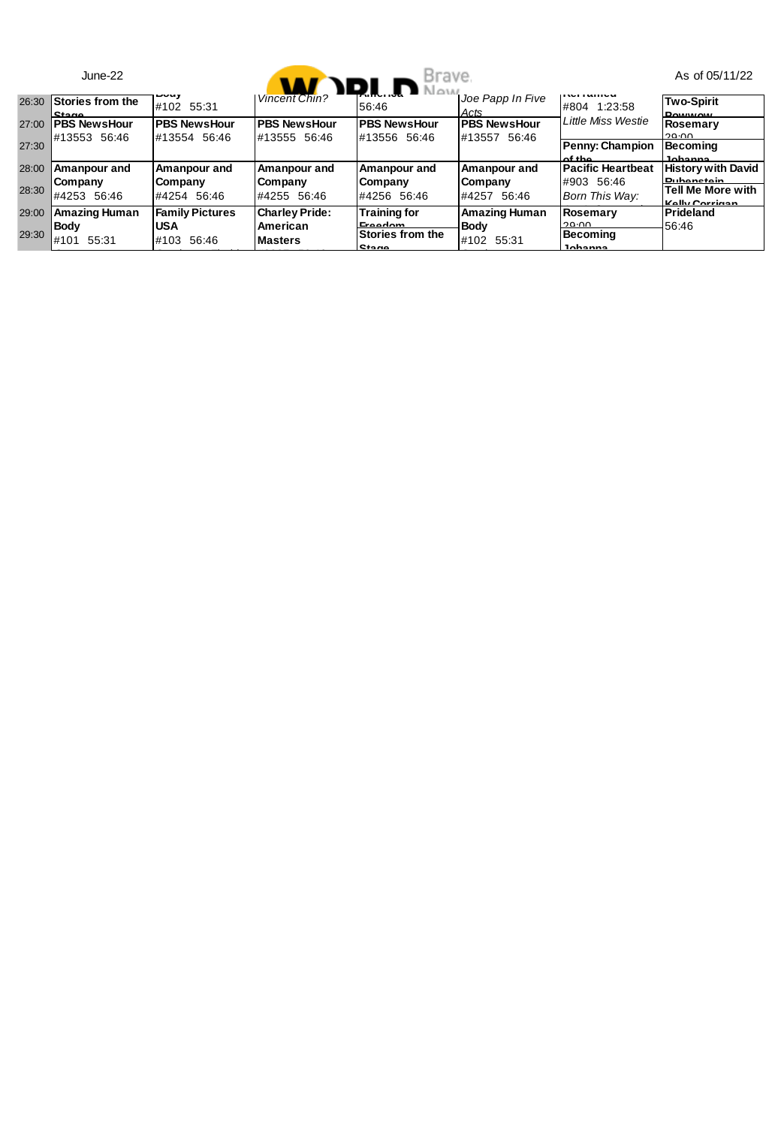|       | $June-22$                           |                                     | Vincent Chin? D.L. D Naw            | Brave.                               |                                     |                              | As of 05/11/22                                           |
|-------|-------------------------------------|-------------------------------------|-------------------------------------|--------------------------------------|-------------------------------------|------------------------------|----------------------------------------------------------|
| 26:30 | Stories from the<br><b>Stane</b>    | $- - - -$<br>#102 55:31             |                                     | 56:46                                | Joe Papp In Five<br>Acts            | <br>#804 1:23:58             | <b>Two-Spirit</b><br><b>DOM/MONE</b>                     |
| 27:00 | <b>PBS NewsHour</b><br>#13553 56:46 | <b>PBS NewsHour</b><br>#13554 56:46 | <b>PBS NewsHour</b><br>#13555 56:46 | <b>PBS NewsHour</b><br>#13556 56:46  | <b>PBS NewsHour</b><br>#13557 56:46 | <b>Little Miss Westie</b>    | Rosemary<br>29.00                                        |
| 27:30 |                                     |                                     |                                     |                                      |                                     | Penny: Champion<br>A         | Becomina<br>Ichanna                                      |
| 28:00 | Amanpour and                        | Amanpour and                        | Amanpour and                        | Amanpour and                         | Amanpour and                        | <b>Pacific Heartbeat</b>     | <b>History with David</b>                                |
| 28:30 | Company<br>#4253 56:46              | Company<br>#4254 56:46              | Company<br>#4255 56:46              | Company<br>#4256 56:46               | Company<br>#4257 56:46              | #903 56:46<br>Born This Wav: | <b>Puhanctain</b><br>Tell Me More with<br>Kolly Corrigan |
| 29:00 | <b>Amazing Human</b>                | <b>Family Pictures</b>              | <b>Charley Pride:</b>               | <b>Training for</b>                  | Amazing Human                       | Rosemary                     | Prideland                                                |
| 29:30 | <b>Body</b><br>#101<br>55:31        | <b>USA</b><br>#103 56:46            | American<br><b>Masters</b>          | Ernadam<br>Stories from the<br>Stane | Body<br>#102 55:31                  | 20.00<br>Becomina<br>Iohanna | 56:46                                                    |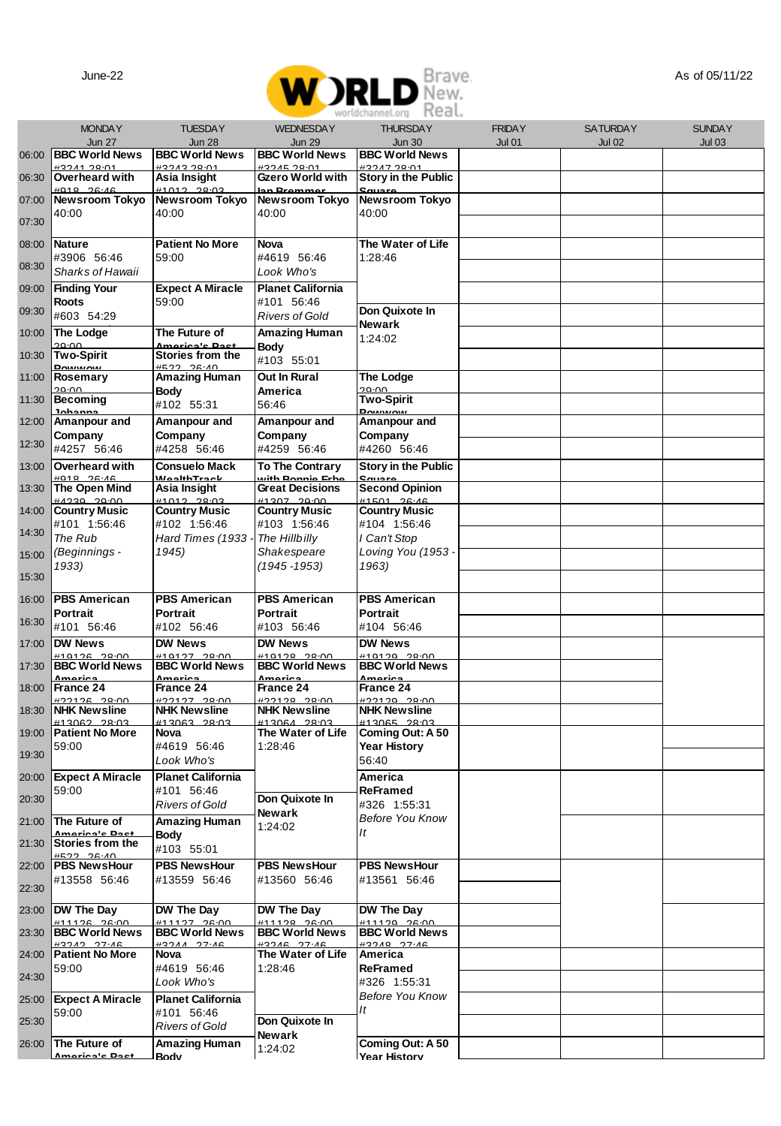

|       | worldchannel.org <b>Redl</b> ,<br><b>MONDAY</b><br><b>TUESDAY</b><br><b>WEDNESDAY</b><br><b>FRIDAY</b><br><b>SATURDAY</b><br><b>SUNDAY</b> |                                              |                                              |                                              |               |               |               |
|-------|--------------------------------------------------------------------------------------------------------------------------------------------|----------------------------------------------|----------------------------------------------|----------------------------------------------|---------------|---------------|---------------|
|       | <b>Jun 27</b>                                                                                                                              | <b>Jun 28</b>                                | <b>Jun 29</b>                                | <b>THURSDAY</b><br><b>Jun 30</b>             | <b>Jul 01</b> | <b>Jul 02</b> | <b>Jul 03</b> |
| 06:00 | <b>BBC World News</b>                                                                                                                      | <b>BBC World News</b>                        | <b>BBC World News</b>                        | <b>BBC World News</b>                        |               |               |               |
| 06:30 | +3241.28-01<br>Overheard with                                                                                                              | +3243.28-01<br>Asia Insight                  | #3245.28:01<br>Gzero World with              | +3247.28:01<br>Story in the Public           |               |               |               |
| 07:00 | 26.46<br>Newsroom Tokyo                                                                                                                    | 20.0<br>Newsroom Tokyo                       | n Prommo<br>Newsroom Tokyo                   | Newsroom Tokyo                               |               |               |               |
| 07:30 | 40:00                                                                                                                                      | 40:00                                        | 40:00                                        | 40:00                                        |               |               |               |
| 08:00 | Nature                                                                                                                                     | <b>Patient No More</b>                       | Nova                                         | The Water of Life                            |               |               |               |
| 08:30 | #3906 56:46                                                                                                                                | 59:00                                        | #4619 56:46                                  | 1:28:46                                      |               |               |               |
|       | Sharks of Hawaii                                                                                                                           |                                              | Look Who's<br><b>Planet California</b>       |                                              |               |               |               |
| 09:00 | <b>Finding Your</b><br>Roots                                                                                                               | <b>Expect A Miracle</b><br>59:00             | #101 56:46                                   |                                              |               |               |               |
| 09:30 | #603 54:29                                                                                                                                 |                                              | <b>Rivers of Gold</b>                        | Don Quixote In<br>Newark                     |               |               |               |
| 10:00 | The Lodge<br>וחיחו                                                                                                                         | The Future of<br>lmariaala Baa               | Amazing Human<br>Body                        | 1:24:02                                      |               |               |               |
| 10:30 | <b>Two-Spirit</b><br><b>Powwow</b>                                                                                                         | Stories from the<br>AN-SC CCZH               | #103 55:01                                   |                                              |               |               |               |
| 11:00 | Rosemary                                                                                                                                   | Amazing Human                                | Out In Rural                                 | The Lodge                                    |               |               |               |
| 11:30 | ח∩∙0כ<br>Becoming                                                                                                                          | Body<br>#102 55:31                           | America<br>56:46                             | 20.00<br><b>Two-Spirit</b>                   |               |               |               |
| 12:00 | lohanna<br>Amanpour and                                                                                                                    | Amanpour and                                 | Amanpour and                                 | Powwow<br>Amanpour and                       |               |               |               |
| 12:30 | Company<br>#4257 56:46                                                                                                                     | Company<br>#4258 56:46                       | Company<br>#4259 56:46                       | Company<br>#4260 56:46                       |               |               |               |
| 13:00 | Overheard with                                                                                                                             | <b>Consuelo Mack</b>                         | <b>To The Contrary</b>                       | <b>Story in the Public</b>                   |               |               |               |
| 13:30 | $+0.18$<br>26.16<br>The Open Mind                                                                                                          | <b>MealthTrack</b><br>Asia Insight           | uith Ronnie Frh<br><b>Great Decisions</b>    | <b>Second Opinion</b>                        |               |               |               |
| 14:00 | nnon neess                                                                                                                                 | <b>44049 90-09</b>                           | unony nono                                   | <b>44CO4 0C-4C</b>                           |               |               |               |
|       | <b>Country Music</b><br>#101 1:56:46                                                                                                       | <b>Country Music</b><br>#102 1:56:46         | <b>Country Music</b><br>#103 1:56:46         | <b>Country Music</b><br>#104 1:56:46         |               |               |               |
| 14:30 | The Rub                                                                                                                                    | Hard Times (1933                             | The Hillbilly                                | l Can't Stop                                 |               |               |               |
| 15:00 | (Beginnings -<br>1933)                                                                                                                     | 1945)                                        | Shakespeare<br>$(1945 - 1953)$               | Loving You (1953 -<br>1963)                  |               |               |               |
| 15:30 |                                                                                                                                            |                                              |                                              |                                              |               |               |               |
| 16:00 | <b>PBS American</b>                                                                                                                        | <b>PBS American</b>                          | <b>PBS American</b>                          | <b>PBS American</b>                          |               |               |               |
| 16:30 | Portrait<br>#101 56:46                                                                                                                     | Portrait<br>#102 56:46                       | Portrait<br>#103 56:46                       | Portrait<br>#104 56:46                       |               |               |               |
| 17:00 | <b>DW News</b>                                                                                                                             | DW News                                      | DW News                                      | DW News                                      |               |               |               |
| 17:30 | <b>BBC World News</b>                                                                                                                      | <b>BBC World News</b>                        | <b>BBC World News</b>                        | <b>BBC World News</b>                        |               |               |               |
| 18:00 | France 24                                                                                                                                  | nari <i>.</i><br>France 24                   | naria<br>France 24                           | narir<br>France 24                           |               |               |               |
| 18:30 | 00:85 38:00<br><b>NHK Newsline</b>                                                                                                         | #22127 28:00<br><b>NHK Newsline</b>          | 122128 28:00<br><b>NHK Newsline</b>          | 02120 28:00<br><b>NHK Newsline</b>           |               |               |               |
|       | 13062 28:03<br><b>Patient No More</b>                                                                                                      | 113063 28:03<br>Nova                         | 13064 28:03<br>The Water of Life             | 113065 28:03                                 |               |               |               |
| 19:00 | 59:00                                                                                                                                      | #4619 56:46                                  | 1:28:46                                      | Coming Out: A 50<br>Year History             |               |               |               |
| 19:30 |                                                                                                                                            | Look Who's                                   |                                              | 56:40                                        |               |               |               |
| 20:00 | <b>Expect A Miracle</b><br>59:00                                                                                                           | <b>Planet California</b><br>#101 56:46       |                                              | America<br>ReFramed                          |               |               |               |
| 20:30 |                                                                                                                                            | <b>Rivers of Gold</b>                        | Don Quixote In<br>Newark                     | #326 1:55:31                                 |               |               |               |
| 21:00 | The Future of<br>نظ ماممة                                                                                                                  | Amazing Human                                | 1:24:02                                      | <b>Before You Know</b><br>It                 |               |               |               |
| 21:30 | Stories from the                                                                                                                           | Body<br>#103 55:01                           |                                              |                                              |               |               |               |
| 22:00 | 06.40 0514<br><b>PBS NewsHour</b>                                                                                                          | <b>PBS NewsHour</b>                          | <b>PBS NewsHour</b>                          | <b>PBS NewsHour</b>                          |               |               |               |
| 22:30 | #13558 56:46                                                                                                                               | #13559 56:46                                 | #13560 56:46                                 | #13561 56:46                                 |               |               |               |
| 23:00 | DW The Day                                                                                                                                 | DW The Dav                                   | DW The Dav                                   | DW The Day                                   |               |               |               |
| 23:30 | <b>41112 2600</b><br><b>BBC World News</b>                                                                                                 | <b>411107 08:00</b><br><b>BBC World News</b> | <b>411199 98-00</b><br><b>BBC World News</b> | <b>411120 28:00</b><br><b>BBC World News</b> |               |               |               |
| 24:00 | #3242 27.46<br><b>Patient No More</b>                                                                                                      | H32AA 27A<br>Nova                            | H3246 27.46<br>The Water of Life             | H32AB 27.4<br>America                        |               |               |               |
|       | 59:00                                                                                                                                      | #4619 56:46                                  | 1:28:46                                      | ReFramed                                     |               |               |               |
| 24:30 |                                                                                                                                            | Look Who's                                   |                                              | #326 1:55:31<br><b>Before You Know</b>       |               |               |               |
| 25:00 | <b>Expect A Miracle</b><br>59:00                                                                                                           | <b>Planet California</b><br>#101 56:46       |                                              | It                                           |               |               |               |
| 25:30 |                                                                                                                                            | Rivers of Gold                               | Don Quixote In<br>Newark                     |                                              |               |               |               |
| 26:00 | The Future of<br>oriania Da                                                                                                                | Amazing Human                                | 1:24:02                                      | Coming Out: A 50<br><b>Year History</b>      |               |               |               |
|       |                                                                                                                                            | Rody                                         |                                              |                                              |               |               |               |